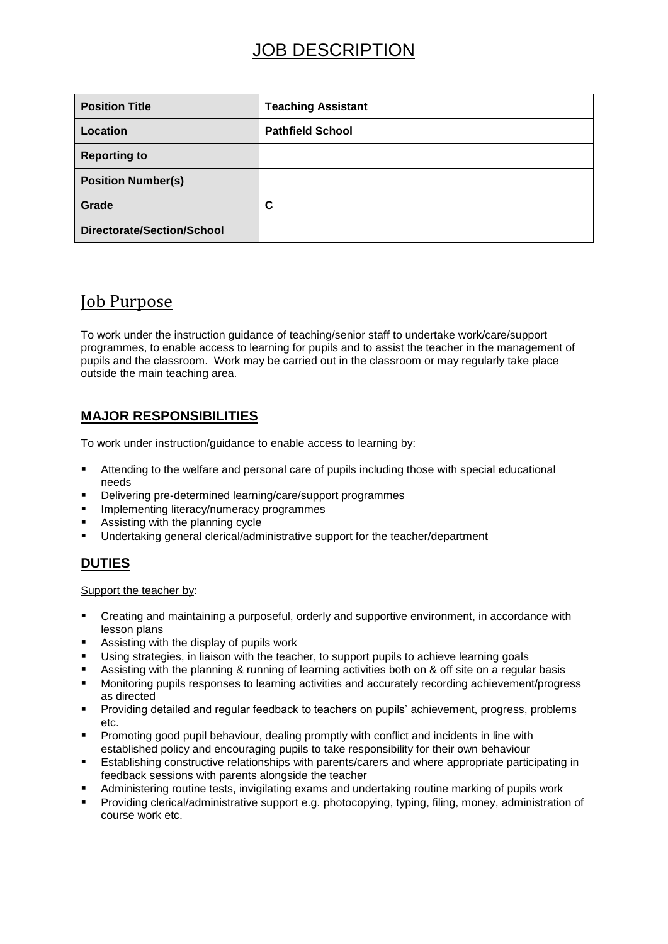| <b>Position Title</b>      | <b>Teaching Assistant</b> |
|----------------------------|---------------------------|
| Location                   | <b>Pathfield School</b>   |
| <b>Reporting to</b>        |                           |
| <b>Position Number(s)</b>  |                           |
| Grade                      | C                         |
| Directorate/Section/School |                           |

## Job Purpose

To work under the instruction guidance of teaching/senior staff to undertake work/care/support programmes, to enable access to learning for pupils and to assist the teacher in the management of pupils and the classroom. Work may be carried out in the classroom or may regularly take place outside the main teaching area.

### **MAJOR RESPONSIBILITIES**

To work under instruction/guidance to enable access to learning by:

- Attending to the welfare and personal care of pupils including those with special educational needs
- Delivering pre-determined learning/care/support programmes
- Implementing literacy/numeracy programmes
- Assisting with the planning cycle
- Undertaking general clerical/administrative support for the teacher/department

### **DUTIES**

Support the teacher by:

- **EXECT** Creating and maintaining a purposeful, orderly and supportive environment, in accordance with lesson plans
- Assisting with the display of pupils work
- Using strategies, in liaison with the teacher, to support pupils to achieve learning goals
- Assisting with the planning & running of learning activities both on & off site on a regular basis
- Monitoring pupils responses to learning activities and accurately recording achievement/progress as directed
- Providing detailed and regular feedback to teachers on pupils' achievement, progress, problems etc.
- Promoting good pupil behaviour, dealing promptly with conflict and incidents in line with established policy and encouraging pupils to take responsibility for their own behaviour
- Establishing constructive relationships with parents/carers and where appropriate participating in feedback sessions with parents alongside the teacher
- Administering routine tests, invigilating exams and undertaking routine marking of pupils work
- Providing clerical/administrative support e.g. photocopying, typing, filing, money, administration of course work etc.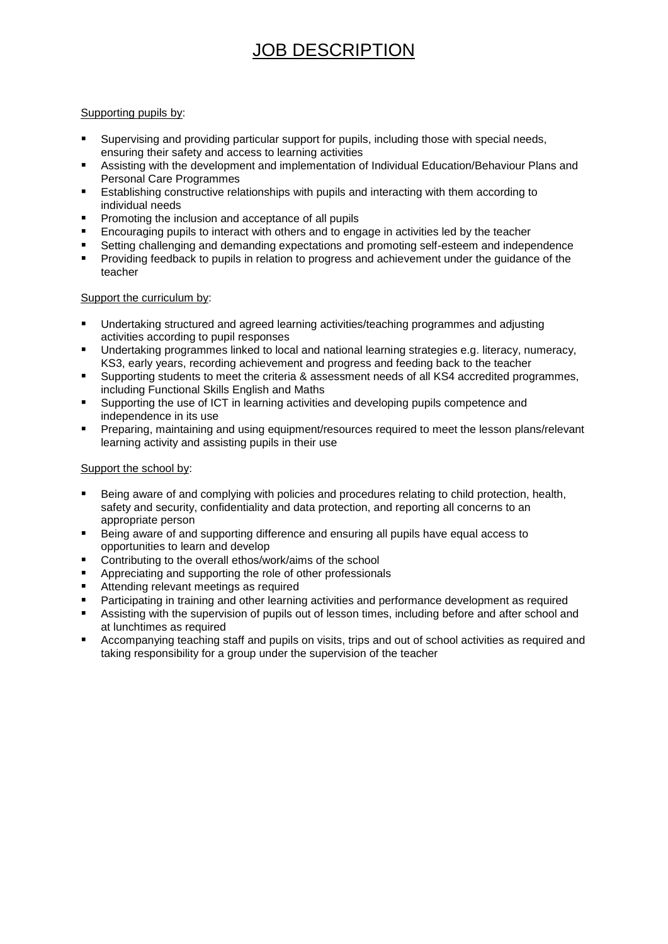#### Supporting pupils by:

- Supervising and providing particular support for pupils, including those with special needs, ensuring their safety and access to learning activities
- Assisting with the development and implementation of Individual Education/Behaviour Plans and Personal Care Programmes
- Establishing constructive relationships with pupils and interacting with them according to individual needs
- **Promoting the inclusion and acceptance of all pupils**
- Encouraging pupils to interact with others and to engage in activities led by the teacher
- Setting challenging and demanding expectations and promoting self-esteem and independence
- **Providing feedback to pupils in relation to progress and achievement under the guidance of the** teacher

#### Support the curriculum by:

- Undertaking structured and agreed learning activities/teaching programmes and adjusting activities according to pupil responses
- Undertaking programmes linked to local and national learning strategies e.g. literacy, numeracy, KS3, early years, recording achievement and progress and feeding back to the teacher
- Supporting students to meet the criteria & assessment needs of all KS4 accredited programmes, including Functional Skills English and Maths
- Supporting the use of ICT in learning activities and developing pupils competence and independence in its use
- Preparing, maintaining and using equipment/resources required to meet the lesson plans/relevant learning activity and assisting pupils in their use

#### Support the school by:

- Being aware of and complying with policies and procedures relating to child protection, health, safety and security, confidentiality and data protection, and reporting all concerns to an appropriate person
- Being aware of and supporting difference and ensuring all pupils have equal access to opportunities to learn and develop
- Contributing to the overall ethos/work/aims of the school
- Appreciating and supporting the role of other professionals
- Attending relevant meetings as required
- Participating in training and other learning activities and performance development as required
- Assisting with the supervision of pupils out of lesson times, including before and after school and at lunchtimes as required
- Accompanying teaching staff and pupils on visits, trips and out of school activities as required and taking responsibility for a group under the supervision of the teacher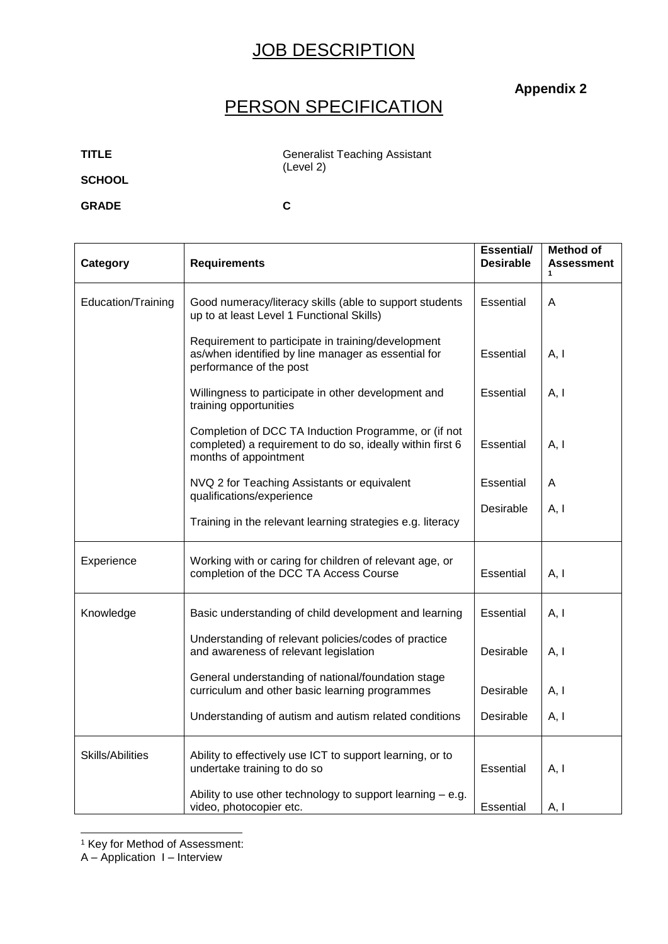### **Appendix 2**

## PERSON SPECIFICATION

**TITLE Generalist Teaching Assistant** (Level 2)

**SCHOOL**

**GRADE C**

| Category                | <b>Requirements</b>                                                                                                                        | <b>Essential/</b><br><b>Desirable</b> | <b>Method of</b><br>Assessment<br>1 |
|-------------------------|--------------------------------------------------------------------------------------------------------------------------------------------|---------------------------------------|-------------------------------------|
| Education/Training      | Good numeracy/literacy skills (able to support students<br>up to at least Level 1 Functional Skills)                                       | Essential                             | A                                   |
|                         | Requirement to participate in training/development<br>as/when identified by line manager as essential for<br>performance of the post       | Essential                             | A, I                                |
|                         | Willingness to participate in other development and<br>training opportunities                                                              | Essential                             | A, I                                |
|                         | Completion of DCC TA Induction Programme, or (if not<br>completed) a requirement to do so, ideally within first 6<br>months of appointment | Essential                             | A, I                                |
|                         | NVQ 2 for Teaching Assistants or equivalent<br>qualifications/experience                                                                   | Essential                             | A                                   |
|                         | Training in the relevant learning strategies e.g. literacy                                                                                 | Desirable                             | A, I                                |
| Experience              | Working with or caring for children of relevant age, or<br>completion of the DCC TA Access Course                                          | Essential                             | A, I                                |
| Knowledge               | Basic understanding of child development and learning                                                                                      | Essential                             | A, I                                |
|                         | Understanding of relevant policies/codes of practice<br>and awareness of relevant legislation                                              | Desirable                             | A, I                                |
|                         | General understanding of national/foundation stage<br>curriculum and other basic learning programmes                                       | Desirable                             | A, I                                |
|                         | Understanding of autism and autism related conditions                                                                                      | Desirable                             | A, I                                |
| <b>Skills/Abilities</b> | Ability to effectively use ICT to support learning, or to<br>undertake training to do so                                                   | Essential                             | A, I                                |
|                         | Ability to use other technology to support learning $-$ e.g.<br>video, photocopier etc.                                                    | Essential                             | A, I                                |

-<sup>1</sup> Key for Method of Assessment:

A – Application I – Interview